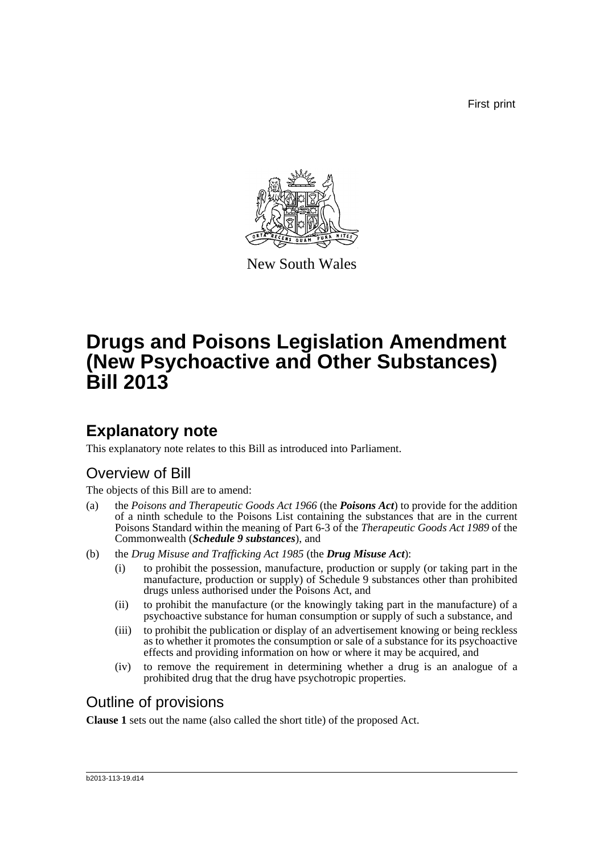First print



New South Wales

# **Drugs and Poisons Legislation Amendment (New Psychoactive and Other Substances) Bill 2013**

## **Explanatory note**

This explanatory note relates to this Bill as introduced into Parliament.

### Overview of Bill

The objects of this Bill are to amend:

- (a) the *Poisons and Therapeutic Goods Act 1966* (the *Poisons Act*) to provide for the addition of a ninth schedule to the Poisons List containing the substances that are in the current Poisons Standard within the meaning of Part 6-3 of the *Therapeutic Goods Act 1989* of the Commonwealth (*Schedule 9 substances*), and
- (b) the *Drug Misuse and Trafficking Act 1985* (the *Drug Misuse Act*):
	- (i) to prohibit the possession, manufacture, production or supply (or taking part in the manufacture, production or supply) of Schedule 9 substances other than prohibited drugs unless authorised under the Poisons Act, and
	- (ii) to prohibit the manufacture (or the knowingly taking part in the manufacture) of a psychoactive substance for human consumption or supply of such a substance, and
	- (iii) to prohibit the publication or display of an advertisement knowing or being reckless as to whether it promotes the consumption or sale of a substance for its psychoactive effects and providing information on how or where it may be acquired, and
	- (iv) to remove the requirement in determining whether a drug is an analogue of a prohibited drug that the drug have psychotropic properties.

### Outline of provisions

**Clause 1** sets out the name (also called the short title) of the proposed Act.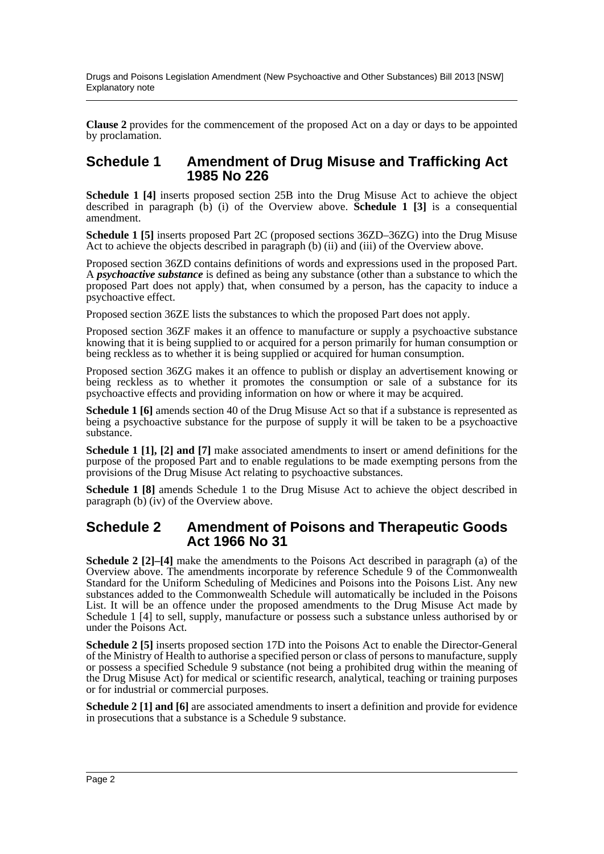Drugs and Poisons Legislation Amendment (New Psychoactive and Other Substances) Bill 2013 [NSW] Explanatory note

**Clause 2** provides for the commencement of the proposed Act on a day or days to be appointed by proclamation.

#### **Schedule 1 Amendment of Drug Misuse and Trafficking Act 1985 No 226**

**Schedule 1 [4]** inserts proposed section 25B into the Drug Misuse Act to achieve the object described in paragraph  $(b)$  (i) of the Overview above. **Schedule 1** [3] is a consequential amendment.

**Schedule 1 [5]** inserts proposed Part 2C (proposed sections 36ZD–36ZG) into the Drug Misuse Act to achieve the objects described in paragraph (b) (ii) and (iii) of the Overview above.

Proposed section 36ZD contains definitions of words and expressions used in the proposed Part. A *psychoactive substance* is defined as being any substance (other than a substance to which the proposed Part does not apply) that, when consumed by a person, has the capacity to induce a psychoactive effect.

Proposed section 36ZE lists the substances to which the proposed Part does not apply.

Proposed section 36ZF makes it an offence to manufacture or supply a psychoactive substance knowing that it is being supplied to or acquired for a person primarily for human consumption or being reckless as to whether it is being supplied or acquired for human consumption.

Proposed section 36ZG makes it an offence to publish or display an advertisement knowing or being reckless as to whether it promotes the consumption or sale of a substance for its psychoactive effects and providing information on how or where it may be acquired.

**Schedule 1 [6]** amends section 40 of the Drug Misuse Act so that if a substance is represented as being a psychoactive substance for the purpose of supply it will be taken to be a psychoactive substance.

**Schedule 1 [1], [2] and [7]** make associated amendments to insert or amend definitions for the purpose of the proposed Part and to enable regulations to be made exempting persons from the provisions of the Drug Misuse Act relating to psychoactive substances.

**Schedule 1 [8]** amends Schedule 1 to the Drug Misuse Act to achieve the object described in paragraph  $(b)$  (iv) of the Overview above.

#### **Schedule 2 Amendment of Poisons and Therapeutic Goods Act 1966 No 31**

**Schedule 2 [2]–[4]** make the amendments to the Poisons Act described in paragraph (a) of the Overview above. The amendments incorporate by reference Schedule 9 of the Commonwealth Standard for the Uniform Scheduling of Medicines and Poisons into the Poisons List. Any new substances added to the Commonwealth Schedule will automatically be included in the Poisons List. It will be an offence under the proposed amendments to the Drug Misuse Act made by Schedule 1 [4] to sell, supply, manufacture or possess such a substance unless authorised by or under the Poisons Act.

**Schedule 2 [5]** inserts proposed section 17D into the Poisons Act to enable the Director-General of the Ministry of Health to authorise a specified person or class of persons to manufacture, supply or possess a specified Schedule 9 substance (not being a prohibited drug within the meaning of the Drug Misuse Act) for medical or scientific research, analytical, teaching or training purposes or for industrial or commercial purposes.

**Schedule 2** [1] and [6] are associated amendments to insert a definition and provide for evidence in prosecutions that a substance is a Schedule 9 substance.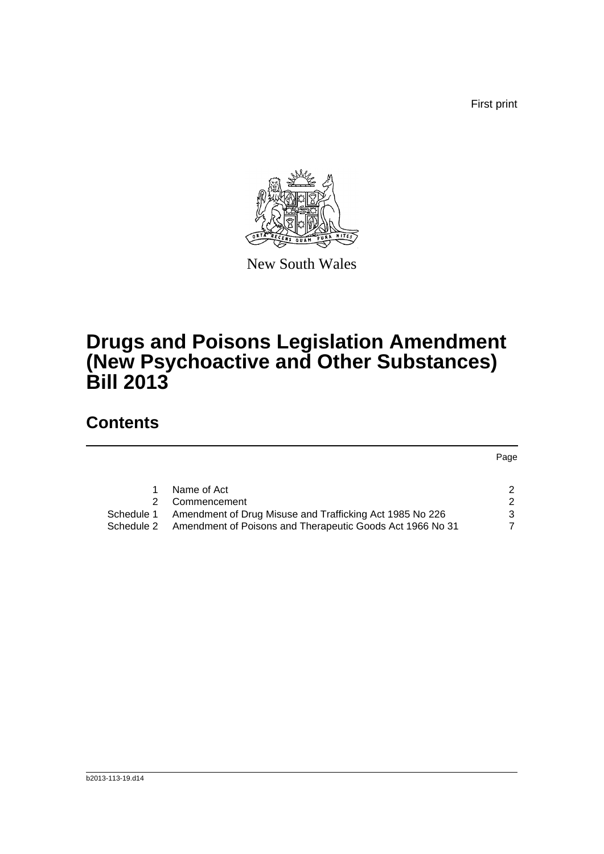First print



New South Wales

# **Drugs and Poisons Legislation Amendment (New Psychoactive and Other Substances) Bill 2013**

## **Contents**

Page

|            | Name of Act                                               |   |
|------------|-----------------------------------------------------------|---|
|            | 2 Commencement                                            | 2 |
| Schedule 1 | Amendment of Drug Misuse and Trafficking Act 1985 No 226  | 3 |
| Schedule 2 | Amendment of Poisons and Therapeutic Goods Act 1966 No 31 | 7 |
|            |                                                           |   |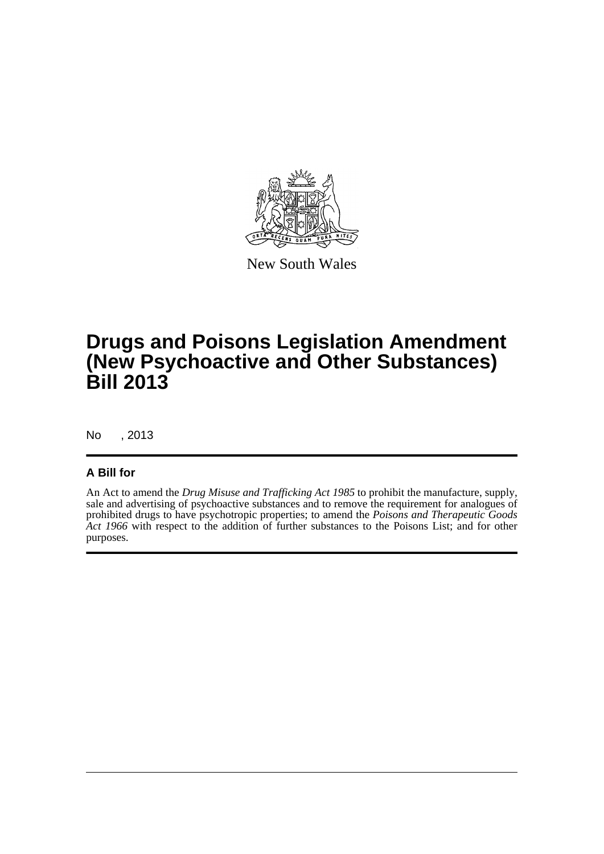

New South Wales

# **Drugs and Poisons Legislation Amendment (New Psychoactive and Other Substances) Bill 2013**

No , 2013

#### **A Bill for**

An Act to amend the *Drug Misuse and Trafficking Act 1985* to prohibit the manufacture, supply, sale and advertising of psychoactive substances and to remove the requirement for analogues of prohibited drugs to have psychotropic properties; to amend the *Poisons and Therapeutic Goods* Act 1966 with respect to the addition of further substances to the Poisons List; and for other purposes.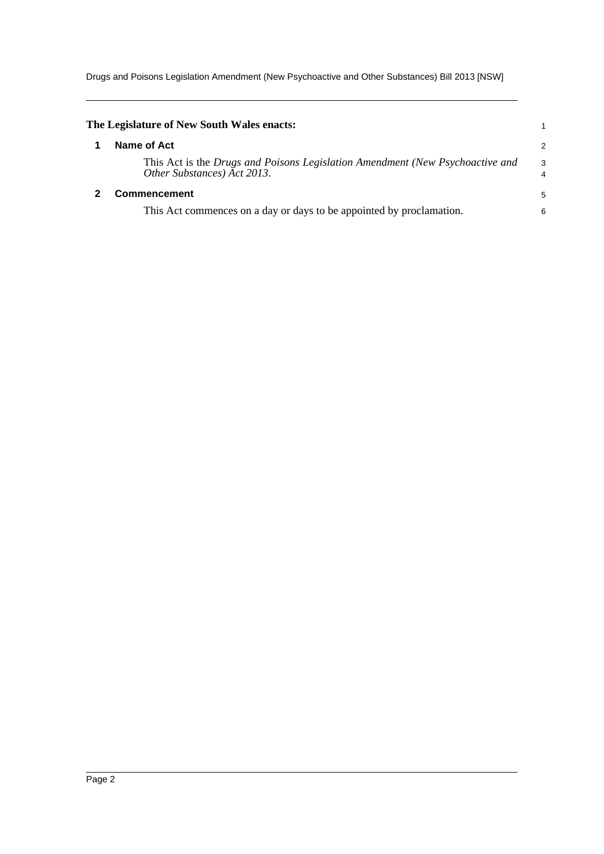Drugs and Poisons Legislation Amendment (New Psychoactive and Other Substances) Bill 2013 [NSW]

<span id="page-4-1"></span><span id="page-4-0"></span>

| The Legislature of New South Wales enacts:                                                                   |                     |
|--------------------------------------------------------------------------------------------------------------|---------------------|
| Name of Act                                                                                                  | $\overline{2}$      |
| This Act is the Drugs and Poisons Legislation Amendment (New Psychoactive and<br>Other Substances) Act 2013. | 3<br>$\overline{4}$ |
| <b>Commencement</b>                                                                                          | 5                   |
| This Act commences on a day or days to be appointed by proclamation.                                         | 6                   |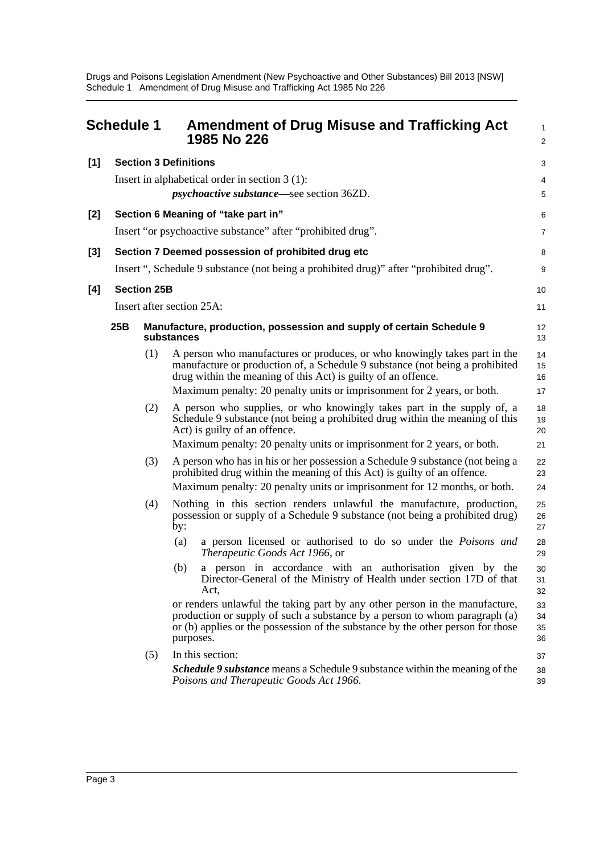Drugs and Poisons Legislation Amendment (New Psychoactive and Other Substances) Bill 2013 [NSW] Schedule 1 Amendment of Drug Misuse and Trafficking Act 1985 No 226

<span id="page-5-0"></span>

|       | <b>Schedule 1</b>            |                                                                                    | <b>Amendment of Drug Misuse and Trafficking Act</b><br>1985 No 226                                                                                                                                                                                        | 1<br>$\overline{a}$  |  |
|-------|------------------------------|------------------------------------------------------------------------------------|-----------------------------------------------------------------------------------------------------------------------------------------------------------------------------------------------------------------------------------------------------------|----------------------|--|
| $[1]$ | <b>Section 3 Definitions</b> |                                                                                    |                                                                                                                                                                                                                                                           |                      |  |
|       |                              |                                                                                    | Insert in alphabetical order in section $3(1)$ :                                                                                                                                                                                                          | 4                    |  |
|       |                              |                                                                                    | <i>psychoactive substance</i> —see section 36ZD.                                                                                                                                                                                                          | 5                    |  |
| $[2]$ |                              |                                                                                    | Section 6 Meaning of "take part in"                                                                                                                                                                                                                       | 6                    |  |
|       |                              |                                                                                    | Insert "or psychoactive substance" after "prohibited drug".                                                                                                                                                                                               | 7                    |  |
| $[3]$ |                              |                                                                                    | Section 7 Deemed possession of prohibited drug etc                                                                                                                                                                                                        | 8                    |  |
|       |                              |                                                                                    | Insert ", Schedule 9 substance (not being a prohibited drug)" after "prohibited drug".                                                                                                                                                                    | 9                    |  |
| [4]   |                              | <b>Section 25B</b>                                                                 |                                                                                                                                                                                                                                                           | 10                   |  |
|       |                              |                                                                                    | Insert after section 25A:                                                                                                                                                                                                                                 | 11                   |  |
|       | 25B                          | Manufacture, production, possession and supply of certain Schedule 9<br>substances | 12<br>13                                                                                                                                                                                                                                                  |                      |  |
|       |                              | (1)                                                                                | A person who manufactures or produces, or who knowingly takes part in the<br>manufacture or production of, a Schedule 9 substance (not being a prohibited<br>drug within the meaning of this Act) is guilty of an offence.                                | 14<br>15<br>16       |  |
|       |                              |                                                                                    | Maximum penalty: 20 penalty units or imprisonment for 2 years, or both.                                                                                                                                                                                   | 17                   |  |
|       |                              | (2)                                                                                | A person who supplies, or who knowingly takes part in the supply of, a<br>Schedule 9 substance (not being a prohibited drug within the meaning of this<br>Act) is guilty of an offence.                                                                   | 18<br>19<br>20       |  |
|       |                              |                                                                                    | Maximum penalty: 20 penalty units or imprisonment for 2 years, or both.                                                                                                                                                                                   | 21                   |  |
|       |                              | (3)                                                                                | A person who has in his or her possession a Schedule 9 substance (not being a<br>prohibited drug within the meaning of this Act) is guilty of an offence.                                                                                                 | 22<br>23             |  |
|       |                              |                                                                                    | Maximum penalty: 20 penalty units or imprisonment for 12 months, or both.                                                                                                                                                                                 | 24                   |  |
|       |                              | (4)                                                                                | Nothing in this section renders unlawful the manufacture, production,<br>possession or supply of a Schedule 9 substance (not being a prohibited drug)<br>by:                                                                                              | 25<br>26<br>27       |  |
|       |                              |                                                                                    | a person licensed or authorised to do so under the <i>Poisons and</i><br>(a)<br>Therapeutic Goods Act 1966, or                                                                                                                                            | 28<br>29             |  |
|       |                              |                                                                                    | (b) a person in accordance with an authorisation given by the<br>Director-General of the Ministry of Health under section 17D of that<br>Act,                                                                                                             | 30<br>31<br>32       |  |
|       |                              |                                                                                    | or renders unlawful the taking part by any other person in the manufacture,<br>production or supply of such a substance by a person to whom paragraph (a)<br>or (b) applies or the possession of the substance by the other person for those<br>purposes. | 33<br>34<br>35<br>36 |  |
|       |                              | (5)                                                                                | In this section:                                                                                                                                                                                                                                          | 37                   |  |
|       |                              |                                                                                    | <b>Schedule 9 substance</b> means a Schedule 9 substance within the meaning of the<br>Poisons and Therapeutic Goods Act 1966.                                                                                                                             | 38<br>39             |  |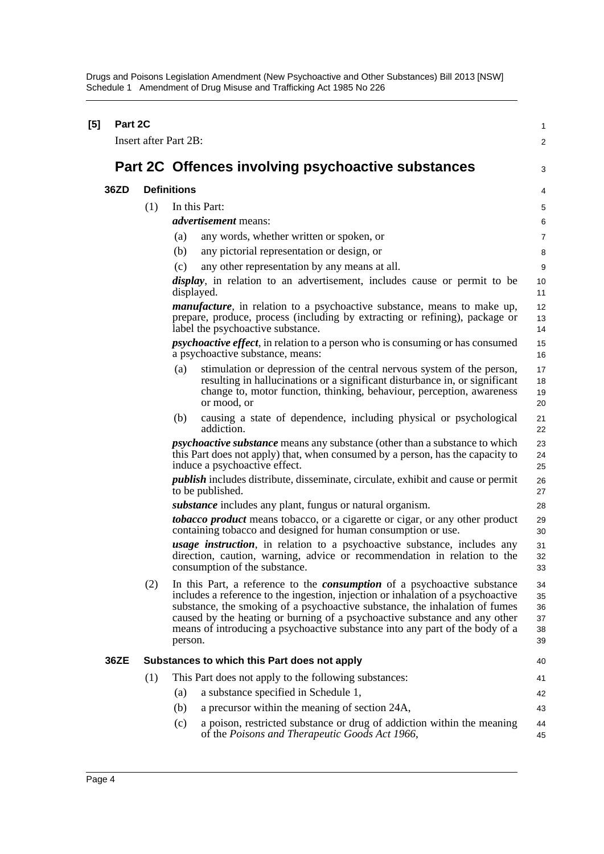Drugs and Poisons Legislation Amendment (New Psychoactive and Other Substances) Bill 2013 [NSW] Schedule 1 Amendment of Drug Misuse and Trafficking Act 1985 No 226

| $[5]$ |      | Part 2C                      |                                                                                                                                                                                                                                                                                                                                                                                                                             |                                  |  |  |  |
|-------|------|------------------------------|-----------------------------------------------------------------------------------------------------------------------------------------------------------------------------------------------------------------------------------------------------------------------------------------------------------------------------------------------------------------------------------------------------------------------------|----------------------------------|--|--|--|
|       |      | <b>Insert after Part 2B:</b> |                                                                                                                                                                                                                                                                                                                                                                                                                             |                                  |  |  |  |
|       |      |                              | Part 2C Offences involving psychoactive substances                                                                                                                                                                                                                                                                                                                                                                          |                                  |  |  |  |
|       | 36ZD |                              | <b>Definitions</b>                                                                                                                                                                                                                                                                                                                                                                                                          | 4                                |  |  |  |
|       |      | (1)                          | In this Part:                                                                                                                                                                                                                                                                                                                                                                                                               | 5                                |  |  |  |
|       |      |                              | <i>advertisement</i> means:                                                                                                                                                                                                                                                                                                                                                                                                 | 6                                |  |  |  |
|       |      |                              | (a)<br>any words, whether written or spoken, or                                                                                                                                                                                                                                                                                                                                                                             | 7                                |  |  |  |
|       |      |                              | (b)<br>any pictorial representation or design, or                                                                                                                                                                                                                                                                                                                                                                           | 8                                |  |  |  |
|       |      |                              | (c)<br>any other representation by any means at all.                                                                                                                                                                                                                                                                                                                                                                        | 9                                |  |  |  |
|       |      |                              | <i>display</i> , in relation to an advertisement, includes cause or permit to be<br>displayed.                                                                                                                                                                                                                                                                                                                              | 10<br>11                         |  |  |  |
|       |      |                              | <i>manufacture</i> , in relation to a psychoactive substance, means to make up,<br>prepare, produce, process (including by extracting or refining), package or<br>label the psychoactive substance.                                                                                                                                                                                                                         | 12<br>13<br>14                   |  |  |  |
|       |      |                              | <i>psychoactive effect</i> , in relation to a person who is consuming or has consumed<br>a psychoactive substance, means:                                                                                                                                                                                                                                                                                                   | 15<br>16                         |  |  |  |
|       |      |                              | stimulation or depression of the central nervous system of the person,<br>(a)<br>resulting in hallucinations or a significant disturbance in, or significant<br>change to, motor function, thinking, behaviour, perception, awareness<br>or mood, or                                                                                                                                                                        | 17<br>18<br>19<br>20             |  |  |  |
|       |      |                              | causing a state of dependence, including physical or psychological<br>(b)<br>addiction.                                                                                                                                                                                                                                                                                                                                     | 21<br>22                         |  |  |  |
|       |      |                              | <i>psychoactive substance</i> means any substance (other than a substance to which<br>this Part does not apply) that, when consumed by a person, has the capacity to<br>induce a psychoactive effect.                                                                                                                                                                                                                       | 23<br>24<br>25                   |  |  |  |
|       |      |                              | <i>publish</i> includes distribute, disseminate, circulate, exhibit and cause or permit<br>to be published.                                                                                                                                                                                                                                                                                                                 | 26<br>27                         |  |  |  |
|       |      |                              | <i>substance</i> includes any plant, fungus or natural organism.                                                                                                                                                                                                                                                                                                                                                            | 28                               |  |  |  |
|       |      |                              | tobacco product means tobacco, or a cigarette or cigar, or any other product<br>containing tobacco and designed for human consumption or use.                                                                                                                                                                                                                                                                               | 29<br>30                         |  |  |  |
|       |      |                              | <i>usage instruction</i> , in relation to a psychoactive substance, includes any<br>direction, caution, warning, advice or recommendation in relation to the<br>consumption of the substance.                                                                                                                                                                                                                               | 31<br>32<br>33                   |  |  |  |
|       |      | (2)                          | In this Part, a reference to the <i>consumption</i> of a psychoactive substance<br>includes a reference to the ingestion, injection or inhalation of a psychoactive<br>substance, the smoking of a psychoactive substance, the inhalation of fumes<br>caused by the heating or burning of a psychoactive substance and any other<br>means of introducing a psychoactive substance into any part of the body of a<br>person. | 34<br>35<br>36<br>37<br>38<br>39 |  |  |  |
|       | 36ZE |                              | Substances to which this Part does not apply                                                                                                                                                                                                                                                                                                                                                                                |                                  |  |  |  |
|       |      | (1)                          | This Part does not apply to the following substances:                                                                                                                                                                                                                                                                                                                                                                       | 41                               |  |  |  |
|       |      |                              | a substance specified in Schedule 1,<br>(a)                                                                                                                                                                                                                                                                                                                                                                                 | 42                               |  |  |  |
|       |      |                              | (b)<br>a precursor within the meaning of section 24A,                                                                                                                                                                                                                                                                                                                                                                       | 43                               |  |  |  |
|       |      |                              | a poison, restricted substance or drug of addiction within the meaning<br>(c)<br>of the Poisons and Therapeutic Goods Act 1966,                                                                                                                                                                                                                                                                                             | 44<br>45                         |  |  |  |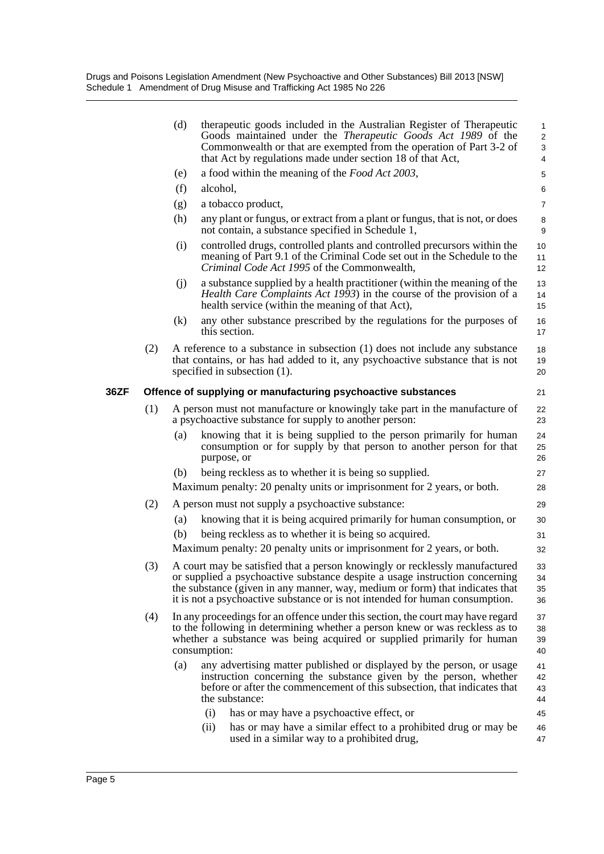Drugs and Poisons Legislation Amendment (New Psychoactive and Other Substances) Bill 2013 [NSW] Schedule 1 Amendment of Drug Misuse and Trafficking Act 1985 No 226

|      |     | (d) | therapeutic goods included in the Australian Register of Therapeutic<br>Goods maintained under the <i>Therapeutic Goods Act 1989</i> of the<br>Commonwealth or that are exempted from the operation of Part 3-2 of<br>that Act by regulations made under section 18 of that Act,                                           | $\mathbf{1}$<br>2<br>3<br>4 |
|------|-----|-----|----------------------------------------------------------------------------------------------------------------------------------------------------------------------------------------------------------------------------------------------------------------------------------------------------------------------------|-----------------------------|
|      |     | (e) | a food within the meaning of the Food Act 2003,                                                                                                                                                                                                                                                                            | $\sqrt{5}$                  |
|      |     | (f) | alcohol,                                                                                                                                                                                                                                                                                                                   | 6                           |
|      |     | (g) | a tobacco product,                                                                                                                                                                                                                                                                                                         | $\overline{7}$              |
|      |     | (h) | any plant or fungus, or extract from a plant or fungus, that is not, or does<br>not contain, a substance specified in Schedule 1,                                                                                                                                                                                          | 8<br>9                      |
|      |     | (i) | controlled drugs, controlled plants and controlled precursors within the<br>meaning of Part 9.1 of the Criminal Code set out in the Schedule to the<br>Criminal Code Act 1995 of the Commonwealth,                                                                                                                         | 10<br>11<br>12              |
|      |     | (j) | a substance supplied by a health practitioner (within the meaning of the<br><i>Health Care Complaints Act 1993</i> ) in the course of the provision of a<br>health service (within the meaning of that Act),                                                                                                               | 13<br>14<br>15              |
|      |     | (k) | any other substance prescribed by the regulations for the purposes of<br>this section.                                                                                                                                                                                                                                     | 16<br>17                    |
|      | (2) |     | A reference to a substance in subsection (1) does not include any substance<br>that contains, or has had added to it, any psychoactive substance that is not<br>specified in subsection $(1)$ .                                                                                                                            | 18<br>19<br>20              |
| 36ZF |     |     | Offence of supplying or manufacturing psychoactive substances                                                                                                                                                                                                                                                              | 21                          |
|      | (1) |     | A person must not manufacture or knowingly take part in the manufacture of<br>a psychoactive substance for supply to another person:                                                                                                                                                                                       | 22<br>23                    |
|      |     | (a) | knowing that it is being supplied to the person primarily for human<br>consumption or for supply by that person to another person for that<br>purpose, or                                                                                                                                                                  | 24<br>25<br>26              |
|      |     | (b) | being reckless as to whether it is being so supplied.                                                                                                                                                                                                                                                                      | 27                          |
|      |     |     | Maximum penalty: 20 penalty units or imprisonment for 2 years, or both.                                                                                                                                                                                                                                                    | 28                          |
|      | (2) |     | A person must not supply a psychoactive substance:                                                                                                                                                                                                                                                                         | 29                          |
|      |     | (a) | knowing that it is being acquired primarily for human consumption, or                                                                                                                                                                                                                                                      | 30                          |
|      |     | (b) | being reckless as to whether it is being so acquired.                                                                                                                                                                                                                                                                      | 31                          |
|      |     |     | Maximum penalty: 20 penalty units or imprisonment for 2 years, or both.                                                                                                                                                                                                                                                    | 32                          |
|      | (3) |     | A court may be satisfied that a person knowingly or recklessly manufactured<br>or supplied a psychoactive substance despite a usage instruction concerning<br>the substance (given in any manner, way, medium or form) that indicates that<br>it is not a psychoactive substance or is not intended for human consumption. | 33<br>34<br>35<br>36        |
|      | (4) |     | In any proceedings for an offence under this section, the court may have regard<br>to the following in determining whether a person knew or was reckless as to<br>whether a substance was being acquired or supplied primarily for human<br>consumption:                                                                   | 37<br>38<br>39<br>40        |
|      |     | (a) | any advertising matter published or displayed by the person, or usage<br>instruction concerning the substance given by the person, whether<br>before or after the commencement of this subsection, that indicates that<br>the substance:                                                                                   | 41<br>42<br>43<br>44        |
|      |     |     | (i)<br>has or may have a psychoactive effect, or                                                                                                                                                                                                                                                                           | 45                          |
|      |     |     | has or may have a similar effect to a prohibited drug or may be<br>(ii)<br>used in a similar way to a prohibited drug,                                                                                                                                                                                                     | 46<br>47                    |
|      |     |     |                                                                                                                                                                                                                                                                                                                            |                             |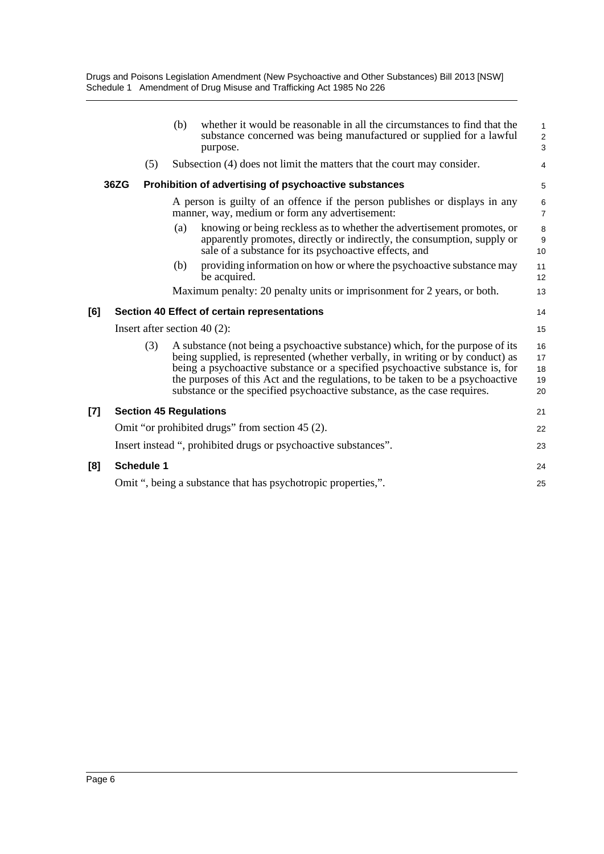|     |                                                               |                                                                 | (b) | whether it would be reasonable in all the circumstances to find that the<br>substance concerned was being manufactured or supplied for a lawful<br>purpose.                                                                                                                                                                                                                                                    | $\mathbf{1}$<br>$\sqrt{2}$<br>3 |  |
|-----|---------------------------------------------------------------|-----------------------------------------------------------------|-----|----------------------------------------------------------------------------------------------------------------------------------------------------------------------------------------------------------------------------------------------------------------------------------------------------------------------------------------------------------------------------------------------------------------|---------------------------------|--|
|     |                                                               | (5)                                                             |     | Subsection (4) does not limit the matters that the court may consider.                                                                                                                                                                                                                                                                                                                                         | 4                               |  |
|     | 36ZG                                                          |                                                                 |     | Prohibition of advertising of psychoactive substances                                                                                                                                                                                                                                                                                                                                                          | 5                               |  |
|     |                                                               |                                                                 |     | A person is guilty of an offence if the person publishes or displays in any<br>manner, way, medium or form any advertisement:                                                                                                                                                                                                                                                                                  | 6<br>$\overline{7}$             |  |
|     |                                                               |                                                                 | (a) | knowing or being reckless as to whether the advertisement promotes, or<br>apparently promotes, directly or indirectly, the consumption, supply or<br>sale of a substance for its psychoactive effects, and                                                                                                                                                                                                     | 8<br>9<br>10                    |  |
|     |                                                               |                                                                 | (b) | providing information on how or where the psychoactive substance may<br>be acquired.                                                                                                                                                                                                                                                                                                                           | 11<br>12                        |  |
|     |                                                               |                                                                 |     | Maximum penalty: 20 penalty units or imprisonment for 2 years, or both.                                                                                                                                                                                                                                                                                                                                        | 13                              |  |
| [6] |                                                               |                                                                 |     | Section 40 Effect of certain representations                                                                                                                                                                                                                                                                                                                                                                   | 14                              |  |
|     | Insert after section 40 $(2)$ :                               |                                                                 |     |                                                                                                                                                                                                                                                                                                                                                                                                                | 15                              |  |
|     |                                                               | (3)                                                             |     | A substance (not being a psychoactive substance) which, for the purpose of its<br>being supplied, is represented (whether verbally, in writing or by conduct) as<br>being a psychoactive substance or a specified psychoactive substance is, for<br>the purposes of this Act and the regulations, to be taken to be a psychoactive<br>substance or the specified psychoactive substance, as the case requires. | 16<br>17<br>18<br>19<br>20      |  |
| [7] |                                                               |                                                                 |     | <b>Section 45 Regulations</b>                                                                                                                                                                                                                                                                                                                                                                                  | 21                              |  |
|     | Omit "or prohibited drugs" from section 45 (2).               |                                                                 |     |                                                                                                                                                                                                                                                                                                                                                                                                                |                                 |  |
|     |                                                               | Insert instead ", prohibited drugs or psychoactive substances". |     |                                                                                                                                                                                                                                                                                                                                                                                                                |                                 |  |
| [8] |                                                               | <b>Schedule 1</b>                                               |     |                                                                                                                                                                                                                                                                                                                                                                                                                | 24                              |  |
|     | Omit ", being a substance that has psychotropic properties,". |                                                                 |     |                                                                                                                                                                                                                                                                                                                                                                                                                |                                 |  |